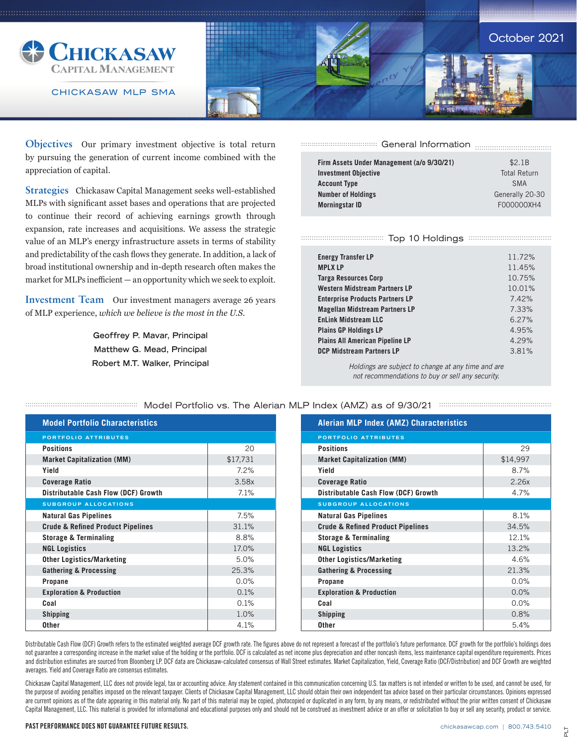

CHICKASAW MLP SMA



**Objectives** Our primary investment objective is total return by pursuing the generation of current income combined with the appreciation of capital.

**Strategies** Chickasaw Capital Management seeks well-established MLPs with significant asset bases and operations that are projected to continue their record of achieving earnings growth through expansion, rate increases and acquisitions. We assess the strategic value of an MLP's energy infrastructure assets in terms of stability and predictability of the cash flows they generate. In addition, a lack of broad institutional ownership and in-depth research often makes the market for MLPs inefficient — an opportunity which we seek to exploit.

**Investment Team** Our investment managers average 26 years of MLP experience, *which we believe is the most in the U.S.*

> **Geoffrey P. Mavar, Principal Matthew G. Mead, Principal Robert M.T. Walker, Principal**

General Information .................................... .................................... .................................... ....................................

| Firm Assets Under Management (a/o 9/30/21) | \$2.1B              |  |  |  |
|--------------------------------------------|---------------------|--|--|--|
| <b>Investment Objective</b>                | <b>Total Return</b> |  |  |  |
| <b>Account Type</b>                        | <b>SMA</b>          |  |  |  |
| <b>Number of Holdings</b>                  | Generally 20-30     |  |  |  |
| <b>Morningstar ID</b>                      | F000000XH4          |  |  |  |
|                                            |                     |  |  |  |

## Top 10 Holdings ....................................... ....................................... ....................................... .......................................

| <b>Energy Transfer LP</b>              | 11.72% |
|----------------------------------------|--------|
| <b>MPLX LP</b>                         | 11.45% |
| <b>Targa Resources Corp</b>            | 10.75% |
| <b>Western Midstream Partners LP</b>   | 10.01% |
| <b>Enterprise Products Partners LP</b> | 7.42%  |
| <b>Magellan Midstream Partners LP</b>  | 7.33%  |
| <b>EnLink Midstream LLC</b>            | 6.27%  |
| <b>Plains GP Holdings LP</b>           | 4.95%  |
| <b>Plains All American Pipeline LP</b> | 4.29%  |
| <b>DCP Midstream Partners LP</b>       | 3.81%  |
|                                        |        |

*Holdings are subject to change at any time and are not recommendations to buy or sell any security.*

| <b>Model Portfolio Characteristics</b>       |          |
|----------------------------------------------|----------|
| <b>PORTFOLIO ATTRIBUTES</b>                  |          |
| <b>Positions</b>                             | 20       |
| <b>Market Capitalization (MM)</b>            | \$17,731 |
| Nield                                        | 7.2%     |
| <b>Coverage Ratio</b>                        | 3.58x    |
| Distributable Cash Flow (DCF) Growth         | 7.1%     |
| <b>SUBGROUP ALLOCATIONS</b>                  |          |
| <b>Natural Gas Pipelines</b>                 | 7.5%     |
| <b>Crude &amp; Refined Product Pipelines</b> | 31.1%    |
| <b>Storage &amp; Terminaling</b>             | 8.8%     |
| <b>NGL Logistics</b>                         | 17.0%    |
| <b>Other Logistics/Marketing</b>             | 5.0%     |
| <b>Gathering &amp; Processing</b>            | 25.3%    |
| Propane                                      | 0.0%     |
| <b>Exploration &amp; Production</b>          | 0.1%     |
| Coal                                         | 0.1%     |
| <b>Shipping</b>                              | 1.0%     |
| Other                                        | 4.1%     |

ENDED The Alerian MILP Index (AMZ) as of 9/30/21 Entertation Contains an anti-

| <b>Alerian MLP Index (AMZ) Characteristics</b> |          |
|------------------------------------------------|----------|
| <b>PORTFOLIO ATTRIBUTES</b>                    |          |
| <b>Positions</b>                               | 29       |
| <b>Market Capitalization (MM)</b>              | \$14,997 |
| Yield                                          | 8.7%     |
| <b>Coverage Ratio</b>                          | 2.26x    |
| <b>Distributable Cash Flow (DCF) Growth</b>    | 4.7%     |
| <b>SUBGROUP ALLOCATIONS</b>                    |          |
| <b>Natural Gas Pipelines</b>                   | 8.1%     |
| <b>Crude &amp; Refined Product Pipelines</b>   | 34.5%    |
| <b>Storage &amp; Terminaling</b>               | 12.1%    |
| <b>NGL Logistics</b>                           | 13.2%    |
| <b>Other Logistics/Marketing</b>               | 4.6%     |
| <b>Gathering &amp; Processing</b>              | 21.3%    |
| <b>Propane</b>                                 | 0.0%     |
| <b>Exploration &amp; Production</b>            | 0.0%     |
| Coal                                           | 0.0%     |
| <b>Shipping</b>                                | 0.8%     |
| <b>Other</b>                                   | 5.4%     |

Distributable Cash Flow (DCF) Growth refers to the estimated weighted average DCF growth rate. The figures above do not represent a forecast of the portfolio's future performance. DCF growth for the portfolio's holdings do not guarantee a corresponding increase in the market value of the holding or the portfolio. DCF is calculated as net income plus depreciation and other noncash items, less maintenance capital expenditure requirements. Prices and distribution estimates are sourced from Bloomberg LP. DCF data are Chickasaw-calculated consensus of Wall Street estimates. Market Capitalization, Yield, Coverage Ratio (DCF/Distribution) and DCF Growth are weighted averages. Yield and Coverage Ratio are consensus estimates.

Chickasaw Capital Management, LLC does not provide legal, tax or accounting advice. Any statement contained in this communication concerning U.S. tax matters is not intended or written to be used, and cannot be used, for the purpose of avoiding penalties imposed on the relevant taxpayer. Clients of Chickasaw Capital Management, LLC should obtain their own independent tax advice based on their particular circumstances. Opinions expressed are current opinions as of the date appearing in this material only. No part of this material may be copied, photocopied or duplicated in any form, by any means, or redistributed without the prior written consent of Chicka Capital Management, LLC. This material is provided for informational and educational purposes only and should not be construed as investment advice or an offer or solicitation to buy or sell any security, product or service.

PAST PERFORMANCE DOES NOT GUARANTEE FUTURE RESULTS.

PLT